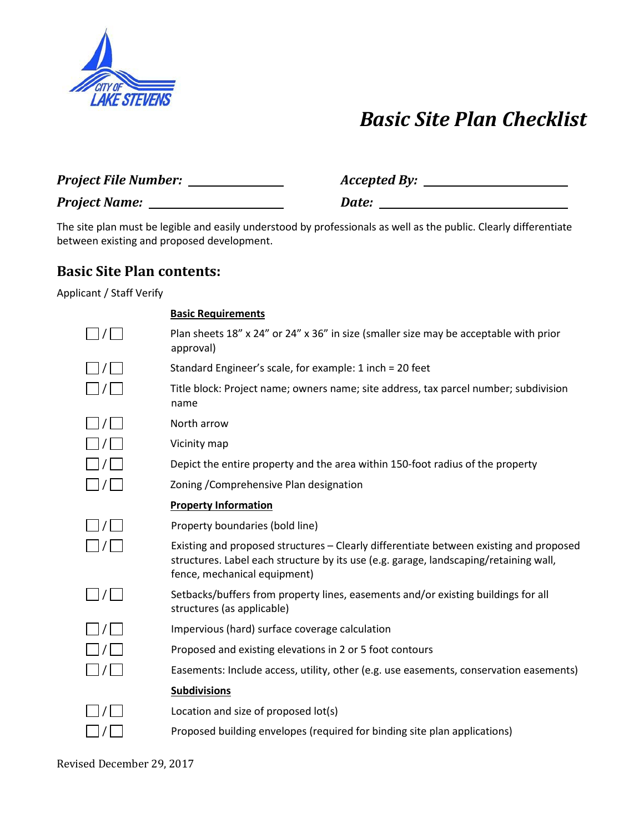

# *Basic Site Plan Checklist*

| <b>Project File Number:</b> | <b>Accepted By:</b> |
|-----------------------------|---------------------|
| <b>Project Name:</b>        | Date:               |

The site plan must be legible and easily understood by professionals as well as the public. Clearly differentiate between existing and proposed development.

# **Basic Site Plan contents:**

Applicant / Staff Verify

|                                                 | <b>Basic Requirements</b>                                                                                                                                                                                       |
|-------------------------------------------------|-----------------------------------------------------------------------------------------------------------------------------------------------------------------------------------------------------------------|
| $L$ $I$ $I$                                     | Plan sheets 18" x 24" or 24" x 36" in size (smaller size may be acceptable with prior<br>approval)                                                                                                              |
| $\Box$ / $\Box$                                 | Standard Engineer's scale, for example: 1 inch = 20 feet                                                                                                                                                        |
| $\Box$ / $\Box$                                 | Title block: Project name; owners name; site address, tax parcel number; subdivision<br>name                                                                                                                    |
| $\vert$ $\vert$ $\vert$ $\vert$ $\vert$ $\vert$ | North arrow                                                                                                                                                                                                     |
| $\Box$ / $\Box$                                 | Vicinity map                                                                                                                                                                                                    |
| $\Box$ / $\Box$                                 | Depict the entire property and the area within 150-foot radius of the property                                                                                                                                  |
| $\vert$ / $\vert$                               | Zoning / Comprehensive Plan designation                                                                                                                                                                         |
|                                                 | <b>Property Information</b>                                                                                                                                                                                     |
| /                                               | Property boundaries (bold line)                                                                                                                                                                                 |
| $\Box$ / $\Box$                                 | Existing and proposed structures - Clearly differentiate between existing and proposed<br>structures. Label each structure by its use (e.g. garage, landscaping/retaining wall,<br>fence, mechanical equipment) |
| $\Box$ / $\Box$                                 | Setbacks/buffers from property lines, easements and/or existing buildings for all<br>structures (as applicable)                                                                                                 |
| $\vert$ / $\vert$                               | Impervious (hard) surface coverage calculation                                                                                                                                                                  |
| $\vert \ \vert/\vert$                           | Proposed and existing elevations in 2 or 5 foot contours                                                                                                                                                        |
|                                                 | Easements: Include access, utility, other (e.g. use easements, conservation easements)                                                                                                                          |
|                                                 | <b>Subdivisions</b>                                                                                                                                                                                             |
|                                                 | Location and size of proposed lot(s)                                                                                                                                                                            |
|                                                 | Proposed building envelopes (required for binding site plan applications)                                                                                                                                       |

Revised December 29, 2017